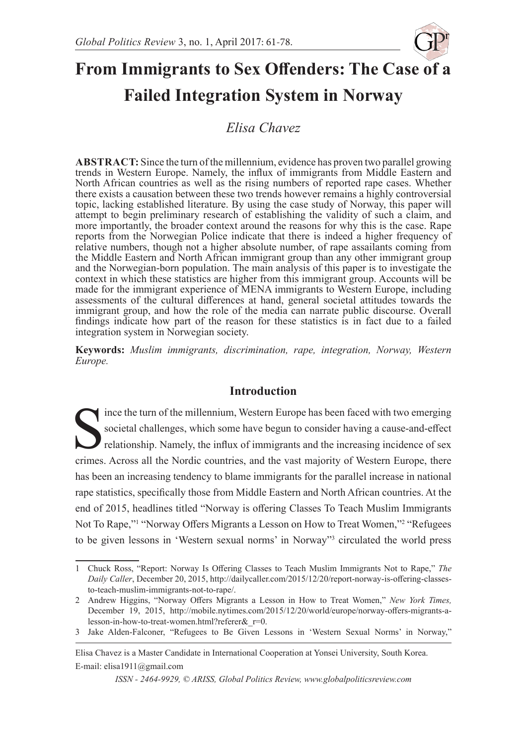

# **From Immigrants to Sex Offenders: The Case of a Failed Integration System in Norway**

*Elisa Chavez*

**ABSTRACT:** Since the turn of the millennium, evidence has proven two parallel growing trends in Western Europe. Namely, the influx of immigrants from Middle Eastern and North African countries as well as the rising numbers of reported rape cases. Whether there exists a causation between these two trends however remains a highly controversial topic, lacking established literature. By using the case study of Norway, this paper will attempt to begin preliminary research of establishing the validity of such a claim, and more importantly, the broader context around the reasons for why this is the case. Rape reports from the Norwegian Police indicate that there is indeed a higher frequency of relative numbers, though not a higher absolute number, of rape assailants coming from the Middle Eastern and North African immigrant group than any other immigrant group and the Norwegian-born population. The main analysis of this paper is to investigate the context in which these statistics are higher from this immigrant group. Accounts will be made for the immigrant experience of MENA immigrants to Western Europe, including assessments of the cultural differences at hand, general societal attitudes towards the immigrant group, and how the role of the media can narrate public discourse. Overall findings indicate how part of the reason for these statistics is in fact due to a failed integration system in Norwegian society.

**Keywords:** *Muslim immigrants, discrimination, rape, integration, Norway, Western Europe.*

## **Introduction**

Since the turn of the millennium, Western Europe has been faced with two emerging<br>societal challenges, which some have begun to consider having a cause-and-effect<br>relationship. Namely, the influx of immigrants and the incr societal challenges, which some have begun to consider having a cause-and-effect relationship. Namely, the influx of immigrants and the increasing incidence of sex crimes. Across all the Nordic countries, and the vast majority of Western Europe, there has been an increasing tendency to blame immigrants for the parallel increase in national rape statistics, specifically those from Middle Eastern and North African countries. At the end of 2015, headlines titled "Norway is offering Classes To Teach Muslim Immigrants Not To Rape,"<sup>1</sup> "Norway Offers Migrants a Lesson on How to Treat Women,"<sup>2</sup> "Refugees to be given lessons in 'Western sexual norms' in Norway"<sup>3</sup> circulated the world press

<sup>1</sup> Chuck Ross, "Report: Norway Is Offering Classes to Teach Muslim Immigrants Not to Rape," *The Daily Caller*, December 20, 2015, http://dailycaller.com/2015/12/20/report-norway-is-offering-classesto-teach-muslim-immigrants-not-to-rape/.

<sup>2</sup> Andrew Higgins, "Norway Offers Migrants a Lesson in How to Treat Women," *New York Times,*  December 19, 2015, http://mobile.nytimes.com/2015/12/20/world/europe/norway-offers-migrants-alesson-in-how-to-treat-women.html?referer&\_r=0.

<sup>3</sup> Jake Alden-Falconer, "Refugees to Be Given Lessons in 'Western Sexual Norms' in Norway,"

Elisa Chavez is a Master Candidate in International Cooperation at Yonsei University, South Korea. E-mail: elisa1911@gmail.com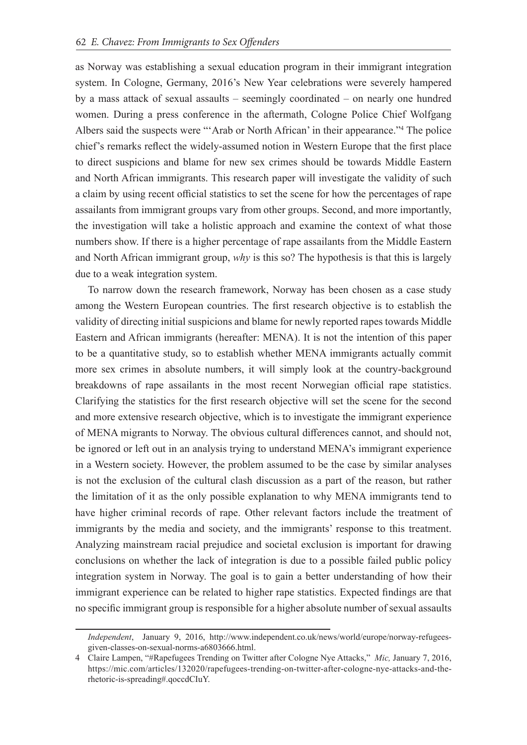as Norway was establishing a sexual education program in their immigrant integration system. In Cologne, Germany, 2016's New Year celebrations were severely hampered by a mass attack of sexual assaults – seemingly coordinated – on nearly one hundred women. During a press conference in the aftermath, Cologne Police Chief Wolfgang Albers said the suspects were "'Arab or North African' in their appearance."<sup>4</sup> The police chief's remarks reflect the widely-assumed notion in Western Europe that the first place to direct suspicions and blame for new sex crimes should be towards Middle Eastern and North African immigrants. This research paper will investigate the validity of such a claim by using recent official statistics to set the scene for how the percentages of rape assailants from immigrant groups vary from other groups. Second, and more importantly, the investigation will take a holistic approach and examine the context of what those numbers show. If there is a higher percentage of rape assailants from the Middle Eastern and North African immigrant group, *why* is this so? The hypothesis is that this is largely due to a weak integration system.

To narrow down the research framework, Norway has been chosen as a case study among the Western European countries. The first research objective is to establish the validity of directing initial suspicions and blame for newly reported rapes towards Middle Eastern and African immigrants (hereafter: MENA). It is not the intention of this paper to be a quantitative study, so to establish whether MENA immigrants actually commit more sex crimes in absolute numbers, it will simply look at the country-background breakdowns of rape assailants in the most recent Norwegian official rape statistics. Clarifying the statistics for the first research objective will set the scene for the second and more extensive research objective, which is to investigate the immigrant experience of MENA migrants to Norway. The obvious cultural differences cannot, and should not, be ignored or left out in an analysis trying to understand MENA's immigrant experience in a Western society. However, the problem assumed to be the case by similar analyses is not the exclusion of the cultural clash discussion as a part of the reason, but rather the limitation of it as the only possible explanation to why MENA immigrants tend to have higher criminal records of rape. Other relevant factors include the treatment of immigrants by the media and society, and the immigrants' response to this treatment. Analyzing mainstream racial prejudice and societal exclusion is important for drawing conclusions on whether the lack of integration is due to a possible failed public policy integration system in Norway. The goal is to gain a better understanding of how their immigrant experience can be related to higher rape statistics. Expected findings are that no specific immigrant group is responsible for a higher absolute number of sexual assaults

*Independent*, January 9, 2016, http://www.independent.co.uk/news/world/europe/norway-refugeesgiven-classes-on-sexual-norms-a6803666.html.

<sup>4</sup> Claire Lampen, "#Rapefugees Trending on Twitter after Cologne Nye Attacks," *Mic,* January 7, 2016, https://mic.com/articles/132020/rapefugees-trending-on-twitter-after-cologne-nye-attacks-and-therhetoric-is-spreading#.qoccdCIuY.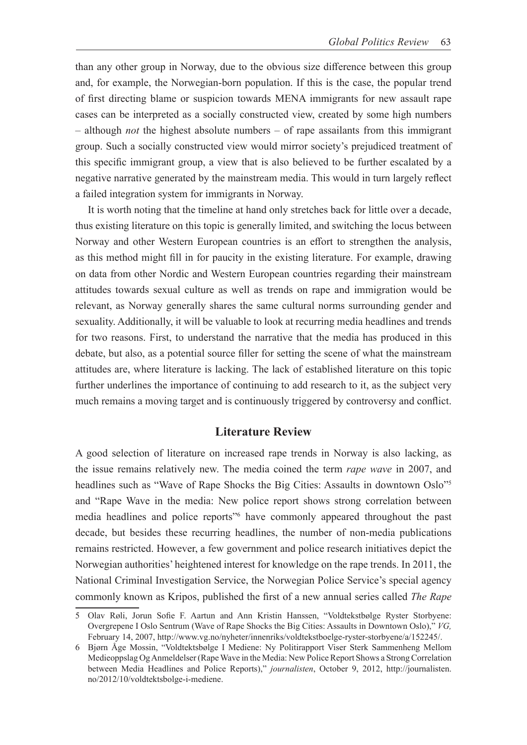than any other group in Norway, due to the obvious size difference between this group and, for example, the Norwegian-born population. If this is the case, the popular trend of first directing blame or suspicion towards MENA immigrants for new assault rape cases can be interpreted as a socially constructed view, created by some high numbers – although *not* the highest absolute numbers – of rape assailants from this immigrant group. Such a socially constructed view would mirror society's prejudiced treatment of this specific immigrant group, a view that is also believed to be further escalated by a negative narrative generated by the mainstream media. This would in turn largely reflect a failed integration system for immigrants in Norway.

It is worth noting that the timeline at hand only stretches back for little over a decade, thus existing literature on this topic is generally limited, and switching the locus between Norway and other Western European countries is an effort to strengthen the analysis, as this method might fill in for paucity in the existing literature. For example, drawing on data from other Nordic and Western European countries regarding their mainstream attitudes towards sexual culture as well as trends on rape and immigration would be relevant, as Norway generally shares the same cultural norms surrounding gender and sexuality. Additionally, it will be valuable to look at recurring media headlines and trends for two reasons. First, to understand the narrative that the media has produced in this debate, but also, as a potential source filler for setting the scene of what the mainstream attitudes are, where literature is lacking. The lack of established literature on this topic further underlines the importance of continuing to add research to it, as the subject very much remains a moving target and is continuously triggered by controversy and conflict.

#### **Literature Review**

A good selection of literature on increased rape trends in Norway is also lacking, as the issue remains relatively new. The media coined the term *rape wave* in 2007, and headlines such as "Wave of Rape Shocks the Big Cities: Assaults in downtown Oslo"<sup>5</sup> and "Rape Wave in the media: New police report shows strong correlation between media headlines and police reports"6 have commonly appeared throughout the past decade, but besides these recurring headlines, the number of non-media publications remains restricted. However, a few government and police research initiatives depict the Norwegian authorities' heightened interest for knowledge on the rape trends. In 2011, the National Criminal Investigation Service, the Norwegian Police Service's special agency commonly known as Kripos, published the first of a new annual series called *The Rape* 

<sup>5</sup> Olav Røli, Jorun Sofie F. Aartun and Ann Kristin Hanssen, "Voldtekstbølge Ryster Storbyene: Overgrepene I Oslo Sentrum (Wave of Rape Shocks the Big Cities: Assaults in Downtown Oslo)," *VG,*  February 14, 2007, http://www.vg.no/nyheter/innenriks/voldtekstboelge-ryster-storbyene/a/152245/.

<sup>6</sup> Bjørn Åge Mossin, "Voldtektsbølge I Mediene: Ny Politirapport Viser Sterk Sammenheng Mellom Medieoppslag Og Anmeldelser (Rape Wave in the Media: New Police Report Shows a Strong Correlation between Media Headlines and Police Reports)," *journalisten*, October 9, 2012, http://journalisten. no/2012/10/voldtektsbolge-i-mediene.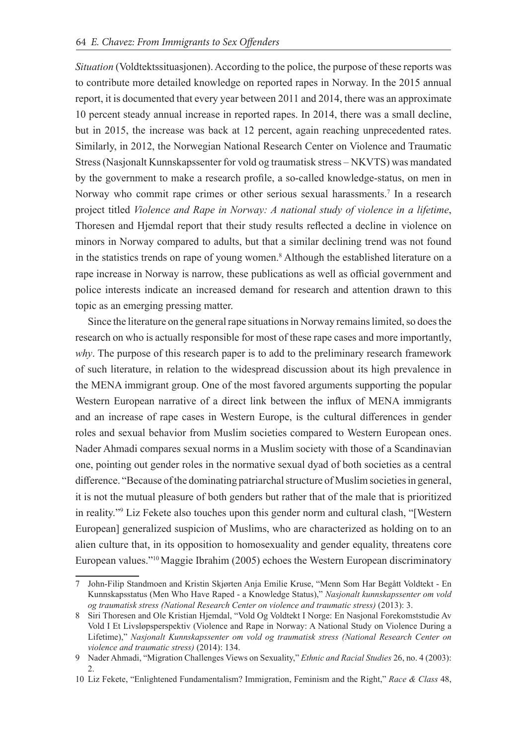*Situation* (Voldtektssituasjonen). According to the police, the purpose of these reports was to contribute more detailed knowledge on reported rapes in Norway. In the 2015 annual report, it is documented that every year between 2011 and 2014, there was an approximate 10 percent steady annual increase in reported rapes. In 2014, there was a small decline, but in 2015, the increase was back at 12 percent, again reaching unprecedented rates. Similarly, in 2012, the Norwegian National Research Center on Violence and Traumatic Stress (Nasjonalt Kunnskapssenter for vold og traumatisk stress – NKVTS) was mandated by the government to make a research profile, a so-called knowledge-status, on men in Norway who commit rape crimes or other serious sexual harassments.<sup>7</sup> In a research project titled *Violence and Rape in Norway: A national study of violence in a lifetime*, Thoresen and Hjemdal report that their study results reflected a decline in violence on minors in Norway compared to adults, but that a similar declining trend was not found in the statistics trends on rape of young women.<sup>8</sup> Although the established literature on a rape increase in Norway is narrow, these publications as well as official government and police interests indicate an increased demand for research and attention drawn to this topic as an emerging pressing matter.

Since the literature on the general rape situations in Norway remains limited, so does the research on who is actually responsible for most of these rape cases and more importantly, *why*. The purpose of this research paper is to add to the preliminary research framework of such literature, in relation to the widespread discussion about its high prevalence in the MENA immigrant group. One of the most favored arguments supporting the popular Western European narrative of a direct link between the influx of MENA immigrants and an increase of rape cases in Western Europe, is the cultural differences in gender roles and sexual behavior from Muslim societies compared to Western European ones. Nader Ahmadi compares sexual norms in a Muslim society with those of a Scandinavian one, pointing out gender roles in the normative sexual dyad of both societies as a central difference. "Because of the dominating patriarchal structure of Muslim societies in general, it is not the mutual pleasure of both genders but rather that of the male that is prioritized in reality."<sup>9</sup> Liz Fekete also touches upon this gender norm and cultural clash, "[Western European] generalized suspicion of Muslims, who are characterized as holding on to an alien culture that, in its opposition to homosexuality and gender equality, threatens core European values."<sup>10</sup>Maggie Ibrahim (2005) echoes the Western European discriminatory

<sup>7</sup> John-Filip Standmoen and Kristin Skjørten Anja Emilie Kruse, "Menn Som Har Begått Voldtekt - En Kunnskapsstatus (Men Who Have Raped - a Knowledge Status)," *Nasjonalt kunnskapssenter om vold og traumatisk stress (National Research Center on violence and traumatic stress)* (2013): 3.

<sup>8</sup> Siri Thoresen and Ole Kristian Hjemdal, "Vold Og Voldtekt I Norge: En Nasjonal Forekomststudie Av Vold I Et Livsløpsperspektiv (Violence and Rape in Norway: A National Study on Violence During a Lifetime)," *Nasjonalt Kunnskapssenter om vold og traumatisk stress (National Research Center on violence and traumatic stress)* (2014): 134.

<sup>9</sup> Nader Ahmadi, "Migration Challenges Views on Sexuality," *Ethnic and Racial Studies* 26, no. 4 (2003): 2.

<sup>10</sup> Liz Fekete, "Enlightened Fundamentalism? Immigration, Feminism and the Right," *Race & Class* 48,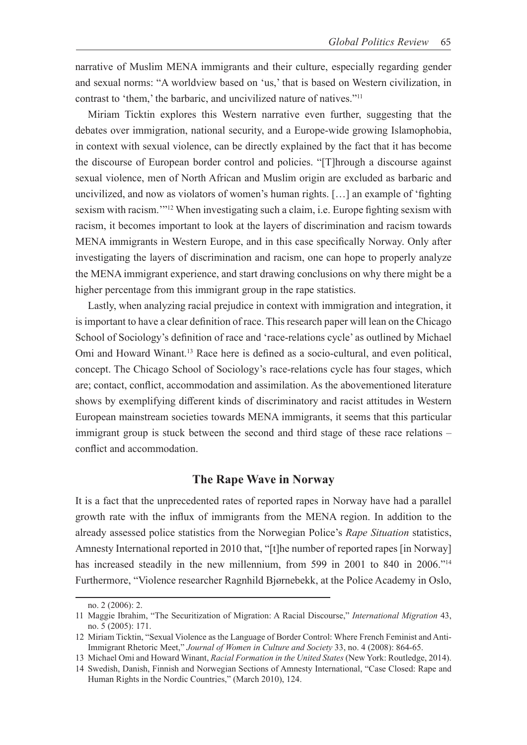narrative of Muslim MENA immigrants and their culture, especially regarding gender and sexual norms: "A worldview based on 'us,' that is based on Western civilization, in contrast to 'them,' the barbaric, and uncivilized nature of natives."<sup>11</sup>

Miriam Ticktin explores this Western narrative even further, suggesting that the debates over immigration, national security, and a Europe-wide growing Islamophobia, in context with sexual violence, can be directly explained by the fact that it has become the discourse of European border control and policies. "[T]hrough a discourse against sexual violence, men of North African and Muslim origin are excluded as barbaric and uncivilized, and now as violators of women's human rights. […] an example of 'fighting sexism with racism.'"<sup>12</sup> When investigating such a claim, i.e. Europe fighting sexism with racism, it becomes important to look at the layers of discrimination and racism towards MENA immigrants in Western Europe, and in this case specifically Norway. Only after investigating the layers of discrimination and racism, one can hope to properly analyze the MENA immigrant experience, and start drawing conclusions on why there might be a higher percentage from this immigrant group in the rape statistics.

Lastly, when analyzing racial prejudice in context with immigration and integration, it is important to have a clear definition of race. This research paper will lean on the Chicago School of Sociology's definition of race and 'race-relations cycle' as outlined by Michael Omi and Howard Winant.<sup>13</sup> Race here is defined as a socio-cultural, and even political, concept. The Chicago School of Sociology's race-relations cycle has four stages, which are; contact, conflict, accommodation and assimilation. As the abovementioned literature shows by exemplifying different kinds of discriminatory and racist attitudes in Western European mainstream societies towards MENA immigrants, it seems that this particular immigrant group is stuck between the second and third stage of these race relations – conflict and accommodation.

#### **The Rape Wave in Norway**

It is a fact that the unprecedented rates of reported rapes in Norway have had a parallel growth rate with the influx of immigrants from the MENA region. In addition to the already assessed police statistics from the Norwegian Police's *Rape Situation* statistics, Amnesty International reported in 2010 that, "[t]he number of reported rapes [in Norway] has increased steadily in the new millennium, from 599 in 2001 to 840 in 2006."<sup>14</sup> Furthermore, "Violence researcher Ragnhild Bjørnebekk, at the Police Academy in Oslo,

no. 2 (2006): 2.

<sup>11</sup> Maggie Ibrahim, "The Securitization of Migration: A Racial Discourse," *International Migration* 43, no. 5 (2005): 171.

<sup>12</sup> Miriam Ticktin, "Sexual Violence as the Language of Border Control: Where French Feminist and Anti-Immigrant Rhetoric Meet," *Journal of Women in Culture and Society* 33, no. 4 (2008): 864-65.

<sup>13</sup> Michael Omi and Howard Winant, *Racial Formation in the United States* (New York: Routledge, 2014).

<sup>14</sup> Swedish, Danish, Finnish and Norwegian Sections of Amnesty International, "Case Closed: Rape and Human Rights in the Nordic Countries," (March 2010), 124.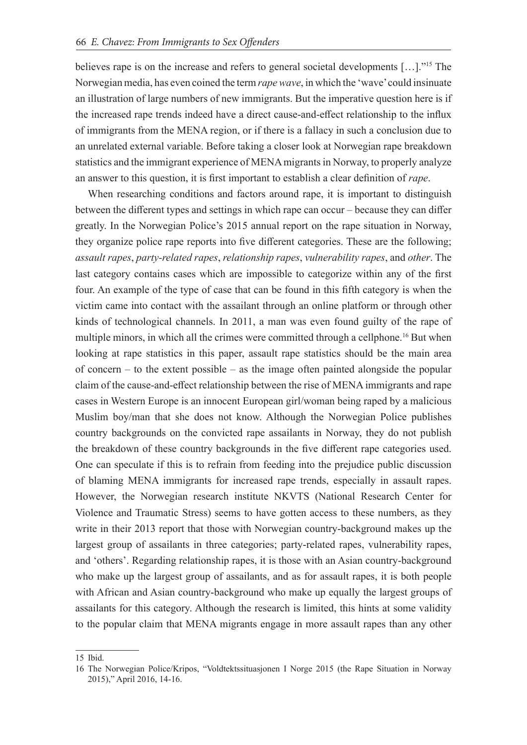believes rape is on the increase and refers to general societal developments […]."15 The Norwegian media, has even coined the term *rape wave*, in which the 'wave' could insinuate an illustration of large numbers of new immigrants. But the imperative question here is if the increased rape trends indeed have a direct cause-and-effect relationship to the influx of immigrants from the MENA region, or if there is a fallacy in such a conclusion due to an unrelated external variable. Before taking a closer look at Norwegian rape breakdown statistics and the immigrant experience of MENA migrants in Norway, to properly analyze an answer to this question, it is first important to establish a clear definition of *rape*.

When researching conditions and factors around rape, it is important to distinguish between the different types and settings in which rape can occur – because they can differ greatly. In the Norwegian Police's 2015 annual report on the rape situation in Norway, they organize police rape reports into five different categories. These are the following; *assault rapes*, *party-related rapes*, *relationship rapes*, *vulnerability rapes*, and *other*. The last category contains cases which are impossible to categorize within any of the first four. An example of the type of case that can be found in this fifth category is when the victim came into contact with the assailant through an online platform or through other kinds of technological channels. In 2011, a man was even found guilty of the rape of multiple minors, in which all the crimes were committed through a cellphone.<sup>16</sup> But when looking at rape statistics in this paper, assault rape statistics should be the main area of concern – to the extent possible – as the image often painted alongside the popular claim of the cause-and-effect relationship between the rise of MENA immigrants and rape cases in Western Europe is an innocent European girl/woman being raped by a malicious Muslim boy/man that she does not know. Although the Norwegian Police publishes country backgrounds on the convicted rape assailants in Norway, they do not publish the breakdown of these country backgrounds in the five different rape categories used. One can speculate if this is to refrain from feeding into the prejudice public discussion of blaming MENA immigrants for increased rape trends, especially in assault rapes. However, the Norwegian research institute NKVTS (National Research Center for Violence and Traumatic Stress) seems to have gotten access to these numbers, as they write in their 2013 report that those with Norwegian country-background makes up the largest group of assailants in three categories; party-related rapes, vulnerability rapes, and 'others'. Regarding relationship rapes, it is those with an Asian country-background who make up the largest group of assailants, and as for assault rapes, it is both people with African and Asian country-background who make up equally the largest groups of assailants for this category. Although the research is limited, this hints at some validity to the popular claim that MENA migrants engage in more assault rapes than any other

<sup>15</sup> Ibid.

<sup>16</sup> The Norwegian Police/Kripos, "Voldtektssituasjonen I Norge 2015 (the Rape Situation in Norway 2015)," April 2016, 14-16.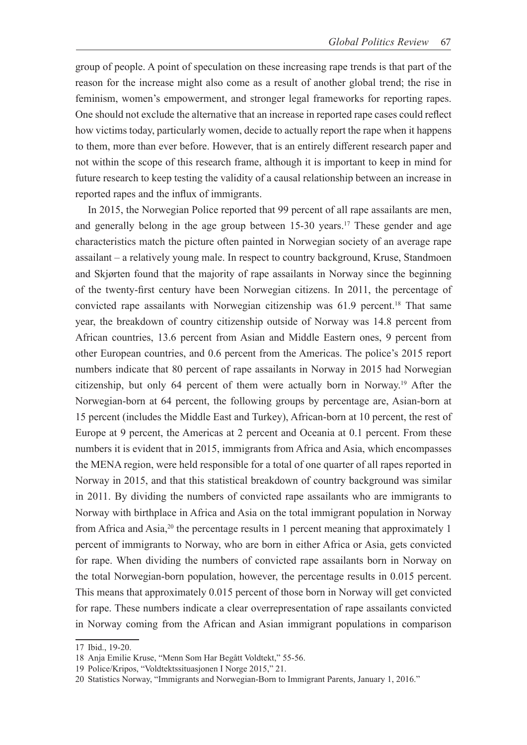group of people. A point of speculation on these increasing rape trends is that part of the reason for the increase might also come as a result of another global trend; the rise in feminism, women's empowerment, and stronger legal frameworks for reporting rapes. One should not exclude the alternative that an increase in reported rape cases could reflect how victims today, particularly women, decide to actually report the rape when it happens to them, more than ever before. However, that is an entirely different research paper and not within the scope of this research frame, although it is important to keep in mind for future research to keep testing the validity of a causal relationship between an increase in reported rapes and the influx of immigrants.

In 2015, the Norwegian Police reported that 99 percent of all rape assailants are men, and generally belong in the age group between 15-30 years.<sup>17</sup> These gender and age characteristics match the picture often painted in Norwegian society of an average rape assailant – a relatively young male. In respect to country background, Kruse, Standmoen and Skjørten found that the majority of rape assailants in Norway since the beginning of the twenty-first century have been Norwegian citizens. In 2011, the percentage of convicted rape assailants with Norwegian citizenship was 61.9 percent.<sup>18</sup> That same year, the breakdown of country citizenship outside of Norway was 14.8 percent from African countries, 13.6 percent from Asian and Middle Eastern ones, 9 percent from other European countries, and 0.6 percent from the Americas. The police's 2015 report numbers indicate that 80 percent of rape assailants in Norway in 2015 had Norwegian citizenship, but only 64 percent of them were actually born in Norway.19 After the Norwegian-born at 64 percent, the following groups by percentage are, Asian-born at 15 percent (includes the Middle East and Turkey), African-born at 10 percent, the rest of Europe at 9 percent, the Americas at 2 percent and Oceania at 0.1 percent. From these numbers it is evident that in 2015, immigrants from Africa and Asia, which encompasses the MENA region, were held responsible for a total of one quarter of all rapes reported in Norway in 2015, and that this statistical breakdown of country background was similar in 2011. By dividing the numbers of convicted rape assailants who are immigrants to Norway with birthplace in Africa and Asia on the total immigrant population in Norway from Africa and Asia,<sup>20</sup> the percentage results in 1 percent meaning that approximately 1 percent of immigrants to Norway, who are born in either Africa or Asia, gets convicted for rape. When dividing the numbers of convicted rape assailants born in Norway on the total Norwegian-born population, however, the percentage results in 0.015 percent. This means that approximately 0.015 percent of those born in Norway will get convicted for rape. These numbers indicate a clear overrepresentation of rape assailants convicted in Norway coming from the African and Asian immigrant populations in comparison

<sup>17</sup> Ibid., 19-20.

<sup>18</sup> Anja Emilie Kruse, "Menn Som Har Begått Voldtekt," 55-56.

<sup>19</sup> Police/Kripos, "Voldtektssituasjonen I Norge 2015," 21.

<sup>20</sup> Statistics Norway, "Immigrants and Norwegian-Born to Immigrant Parents, January 1, 2016."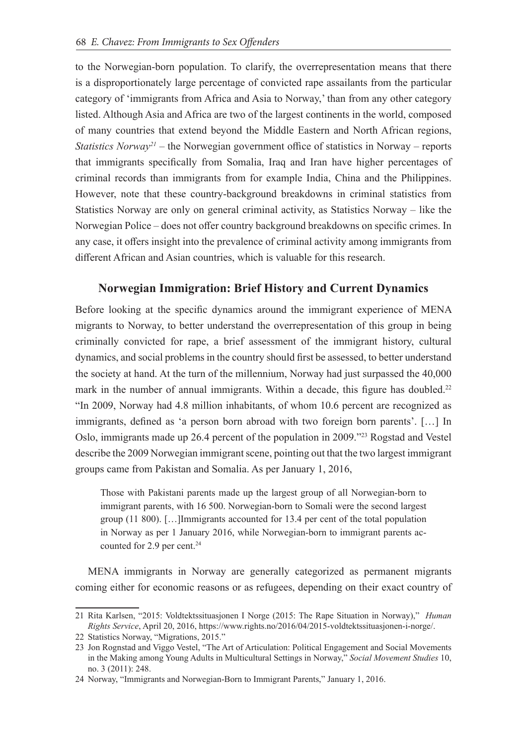to the Norwegian-born population. To clarify, the overrepresentation means that there is a disproportionately large percentage of convicted rape assailants from the particular category of 'immigrants from Africa and Asia to Norway,' than from any other category listed. Although Asia and Africa are two of the largest continents in the world, composed of many countries that extend beyond the Middle Eastern and North African regions, *Statistics Norway<sup>21</sup>* – the Norwegian government office of statistics in Norway – reports that immigrants specifically from Somalia, Iraq and Iran have higher percentages of criminal records than immigrants from for example India, China and the Philippines. However, note that these country-background breakdowns in criminal statistics from Statistics Norway are only on general criminal activity, as Statistics Norway – like the Norwegian Police – does not offer country background breakdowns on specific crimes. In any case, it offers insight into the prevalence of criminal activity among immigrants from different African and Asian countries, which is valuable for this research.

## **Norwegian Immigration: Brief History and Current Dynamics**

Before looking at the specific dynamics around the immigrant experience of MENA migrants to Norway, to better understand the overrepresentation of this group in being criminally convicted for rape, a brief assessment of the immigrant history, cultural dynamics, and social problems in the country should first be assessed, to better understand the society at hand. At the turn of the millennium, Norway had just surpassed the 40,000 mark in the number of annual immigrants. Within a decade, this figure has doubled.<sup>22</sup> "In 2009, Norway had 4.8 million inhabitants, of whom 10.6 percent are recognized as immigrants, defined as 'a person born abroad with two foreign born parents'. […] In Oslo, immigrants made up 26.4 percent of the population in 2009."<sup>23</sup> Rogstad and Vestel describe the 2009 Norwegian immigrant scene, pointing out that the two largest immigrant groups came from Pakistan and Somalia. As per January 1, 2016,

Those with Pakistani parents made up the largest group of all Norwegian-born to immigrant parents, with 16 500. Norwegian-born to Somali were the second largest group (11 800). […]Immigrants accounted for 13.4 per cent of the total population in Norway as per 1 January 2016, while Norwegian-born to immigrant parents accounted for 2.9 per cent.<sup>24</sup>

MENA immigrants in Norway are generally categorized as permanent migrants coming either for economic reasons or as refugees, depending on their exact country of

<sup>21</sup> Rita Karlsen, "2015: Voldtektssituasjonen I Norge (2015: The Rape Situation in Norway)," *Human Rights Service*, April 20, 2016, https://www.rights.no/2016/04/2015-voldtektssituasjonen-i-norge/.

<sup>22</sup> Statistics Norway, "Migrations, 2015."

<sup>23</sup> Jon Rognstad and Viggo Vestel, "The Art of Articulation: Political Engagement and Social Movements in the Making among Young Adults in Multicultural Settings in Norway," *Social Movement Studies* 10, no. 3 (2011): 248.

<sup>24</sup> Norway, "Immigrants and Norwegian-Born to Immigrant Parents," January 1, 2016.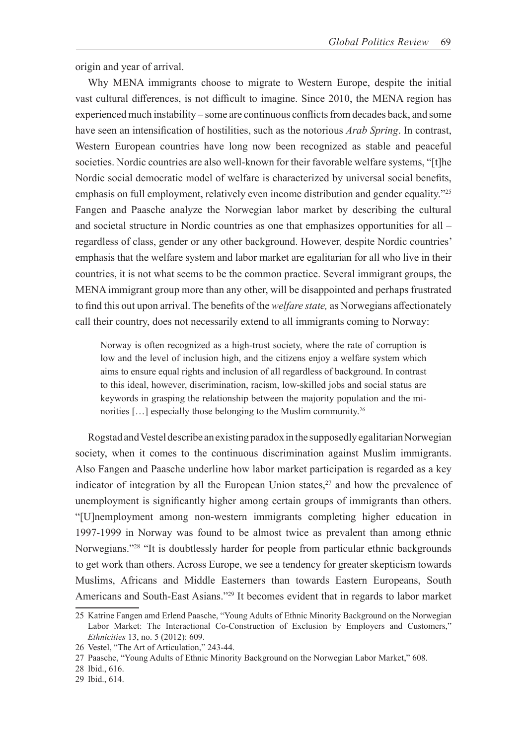origin and year of arrival.

Why MENA immigrants choose to migrate to Western Europe, despite the initial vast cultural differences, is not difficult to imagine. Since 2010, the MENA region has experienced much instability – some are continuous conflicts from decades back, and some have seen an intensification of hostilities, such as the notorious *Arab Spring*. In contrast, Western European countries have long now been recognized as stable and peaceful societies. Nordic countries are also well-known for their favorable welfare systems, "[t]he Nordic social democratic model of welfare is characterized by universal social benefits, emphasis on full employment, relatively even income distribution and gender equality."<sup>25</sup> Fangen and Paasche analyze the Norwegian labor market by describing the cultural and societal structure in Nordic countries as one that emphasizes opportunities for all – regardless of class, gender or any other background. However, despite Nordic countries' emphasis that the welfare system and labor market are egalitarian for all who live in their countries, it is not what seems to be the common practice. Several immigrant groups, the MENA immigrant group more than any other, will be disappointed and perhaps frustrated to find this out upon arrival. The benefits of the *welfare state,* as Norwegians affectionately call their country, does not necessarily extend to all immigrants coming to Norway:

Norway is often recognized as a high-trust society, where the rate of corruption is low and the level of inclusion high, and the citizens enjoy a welfare system which aims to ensure equal rights and inclusion of all regardless of background. In contrast to this ideal, however, discrimination, racism, low-skilled jobs and social status are keywords in grasping the relationship between the majority population and the minorities [...] especially those belonging to the Muslim community.<sup>26</sup>

Rogstad and Vestel describe an existing paradox in the supposedly egalitarian Norwegian society, when it comes to the continuous discrimination against Muslim immigrants. Also Fangen and Paasche underline how labor market participation is regarded as a key indicator of integration by all the European Union states, $27$  and how the prevalence of unemployment is significantly higher among certain groups of immigrants than others. "[U]nemployment among non-western immigrants completing higher education in 1997-1999 in Norway was found to be almost twice as prevalent than among ethnic Norwegians."28 "It is doubtlessly harder for people from particular ethnic backgrounds to get work than others. Across Europe, we see a tendency for greater skepticism towards Muslims, Africans and Middle Easterners than towards Eastern Europeans, South Americans and South-East Asians."<sup>29</sup> It becomes evident that in regards to labor market

<sup>25</sup> Katrine Fangen amd Erlend Paasche, "Young Adults of Ethnic Minority Background on the Norwegian Labor Market: The Interactional Co-Construction of Exclusion by Employers and Customers," *Ethnicities* 13, no. 5 (2012): 609.

<sup>26</sup> Vestel, "The Art of Articulation," 243-44.

<sup>27</sup> Paasche, "Young Adults of Ethnic Minority Background on the Norwegian Labor Market," 608.

<sup>28</sup> Ibid., 616.

<sup>29</sup> Ibid., 614.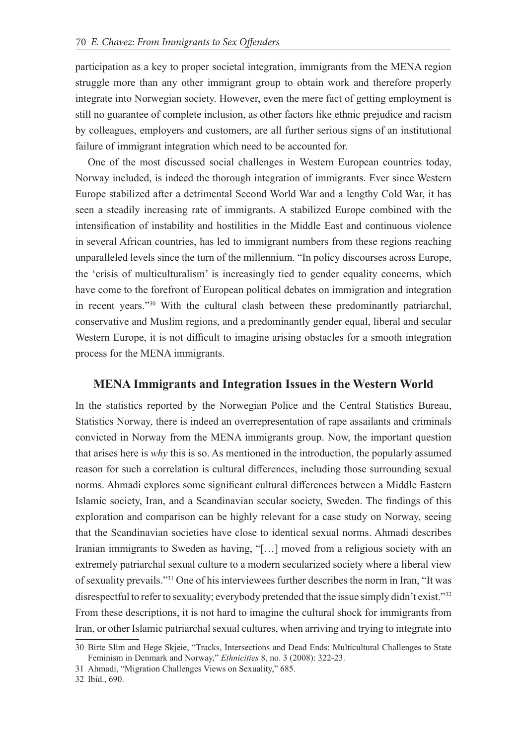participation as a key to proper societal integration, immigrants from the MENA region struggle more than any other immigrant group to obtain work and therefore properly integrate into Norwegian society. However, even the mere fact of getting employment is still no guarantee of complete inclusion, as other factors like ethnic prejudice and racism by colleagues, employers and customers, are all further serious signs of an institutional failure of immigrant integration which need to be accounted for.

One of the most discussed social challenges in Western European countries today, Norway included, is indeed the thorough integration of immigrants. Ever since Western Europe stabilized after a detrimental Second World War and a lengthy Cold War, it has seen a steadily increasing rate of immigrants. A stabilized Europe combined with the intensification of instability and hostilities in the Middle East and continuous violence in several African countries, has led to immigrant numbers from these regions reaching unparalleled levels since the turn of the millennium. "In policy discourses across Europe, the 'crisis of multiculturalism' is increasingly tied to gender equality concerns, which have come to the forefront of European political debates on immigration and integration in recent years."30 With the cultural clash between these predominantly patriarchal, conservative and Muslim regions, and a predominantly gender equal, liberal and secular Western Europe, it is not difficult to imagine arising obstacles for a smooth integration process for the MENA immigrants.

#### **MENA Immigrants and Integration Issues in the Western World**

In the statistics reported by the Norwegian Police and the Central Statistics Bureau, Statistics Norway, there is indeed an overrepresentation of rape assailants and criminals convicted in Norway from the MENA immigrants group. Now, the important question that arises here is *why* this is so. As mentioned in the introduction, the popularly assumed reason for such a correlation is cultural differences, including those surrounding sexual norms. Ahmadi explores some significant cultural differences between a Middle Eastern Islamic society, Iran, and a Scandinavian secular society, Sweden. The findings of this exploration and comparison can be highly relevant for a case study on Norway, seeing that the Scandinavian societies have close to identical sexual norms. Ahmadi describes Iranian immigrants to Sweden as having, "[…] moved from a religious society with an extremely patriarchal sexual culture to a modern secularized society where a liberal view of sexuality prevails."<sup>31</sup> One of his interviewees further describes the norm in Iran, "It was disrespectful to refer to sexuality; everybody pretended that the issue simply didn't exist."<sup>32</sup> From these descriptions, it is not hard to imagine the cultural shock for immigrants from Iran, or other Islamic patriarchal sexual cultures, when arriving and trying to integrate into

<sup>30</sup> Birte Slim and Hege Skjeie, "Tracks, Intersections and Dead Ends: Multicultural Challenges to State Feminism in Denmark and Norway," *Ethnicities* 8, no. 3 (2008): 322-23.

<sup>31</sup> Ahmadi, "Migration Challenges Views on Sexuality," 685.

<sup>32</sup> Ibid., 690.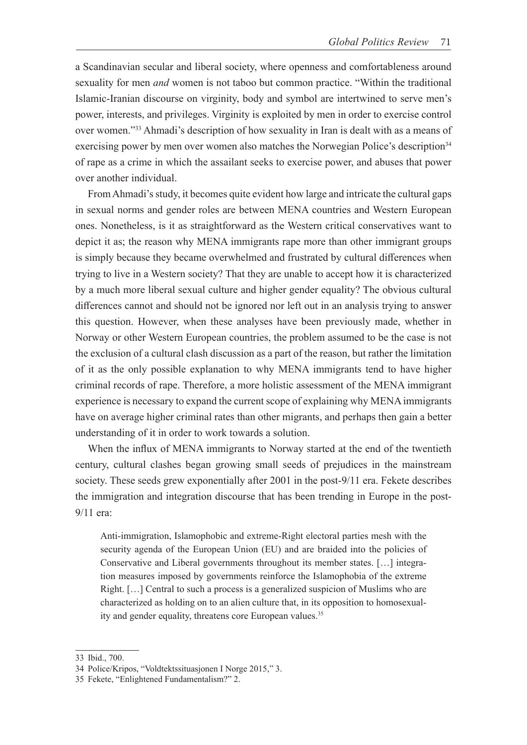a Scandinavian secular and liberal society, where openness and comfortableness around sexuality for men *and* women is not taboo but common practice. "Within the traditional Islamic-Iranian discourse on virginity, body and symbol are intertwined to serve men's power, interests, and privileges. Virginity is exploited by men in order to exercise control over women."<sup>33</sup> Ahmadi's description of how sexuality in Iran is dealt with as a means of exercising power by men over women also matches the Norwegian Police's description<sup>34</sup> of rape as a crime in which the assailant seeks to exercise power, and abuses that power over another individual.

From Ahmadi's study, it becomes quite evident how large and intricate the cultural gaps in sexual norms and gender roles are between MENA countries and Western European ones. Nonetheless, is it as straightforward as the Western critical conservatives want to depict it as; the reason why MENA immigrants rape more than other immigrant groups is simply because they became overwhelmed and frustrated by cultural differences when trying to live in a Western society? That they are unable to accept how it is characterized by a much more liberal sexual culture and higher gender equality? The obvious cultural differences cannot and should not be ignored nor left out in an analysis trying to answer this question. However, when these analyses have been previously made, whether in Norway or other Western European countries, the problem assumed to be the case is not the exclusion of a cultural clash discussion as a part of the reason, but rather the limitation of it as the only possible explanation to why MENA immigrants tend to have higher criminal records of rape. Therefore, a more holistic assessment of the MENA immigrant experience is necessary to expand the current scope of explaining why MENA immigrants have on average higher criminal rates than other migrants, and perhaps then gain a better understanding of it in order to work towards a solution.

When the influx of MENA immigrants to Norway started at the end of the twentieth century, cultural clashes began growing small seeds of prejudices in the mainstream society. These seeds grew exponentially after 2001 in the post-9/11 era. Fekete describes the immigration and integration discourse that has been trending in Europe in the post-9/11 era:

Anti-immigration, Islamophobic and extreme-Right electoral parties mesh with the security agenda of the European Union (EU) and are braided into the policies of Conservative and Liberal governments throughout its member states. […] integration measures imposed by governments reinforce the Islamophobia of the extreme Right. […] Central to such a process is a generalized suspicion of Muslims who are characterized as holding on to an alien culture that, in its opposition to homosexuality and gender equality, threatens core European values.<sup>35</sup>

<sup>33</sup> Ibid., 700.

<sup>34</sup> Police/Kripos, "Voldtektssituasjonen I Norge 2015," 3.

<sup>35</sup> Fekete, "Enlightened Fundamentalism?" 2.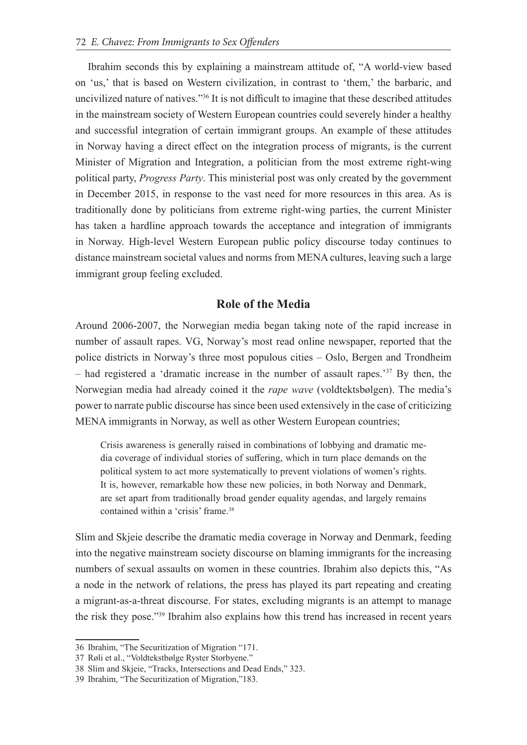Ibrahim seconds this by explaining a mainstream attitude of, "A world-view based on 'us,' that is based on Western civilization, in contrast to 'them,' the barbaric, and uncivilized nature of natives."36 It is not difficult to imagine that these described attitudes in the mainstream society of Western European countries could severely hinder a healthy and successful integration of certain immigrant groups. An example of these attitudes in Norway having a direct effect on the integration process of migrants, is the current Minister of Migration and Integration, a politician from the most extreme right-wing political party, *Progress Party*. This ministerial post was only created by the government in December 2015, in response to the vast need for more resources in this area. As is traditionally done by politicians from extreme right-wing parties, the current Minister has taken a hardline approach towards the acceptance and integration of immigrants in Norway. High-level Western European public policy discourse today continues to distance mainstream societal values and norms from MENA cultures, leaving such a large immigrant group feeling excluded.

#### **Role of the Media**

Around 2006-2007, the Norwegian media began taking note of the rapid increase in number of assault rapes. VG, Norway's most read online newspaper, reported that the police districts in Norway's three most populous cities – Oslo, Bergen and Trondheim – had registered a 'dramatic increase in the number of assault rapes.'37 By then, the Norwegian media had already coined it the *rape wave* (voldtektsbølgen). The media's power to narrate public discourse has since been used extensively in the case of criticizing MENA immigrants in Norway, as well as other Western European countries;

Crisis awareness is generally raised in combinations of lobbying and dramatic media coverage of individual stories of suffering, which in turn place demands on the political system to act more systematically to prevent violations of women's rights. It is, however, remarkable how these new policies, in both Norway and Denmark, are set apart from traditionally broad gender equality agendas, and largely remains contained within a 'crisis' frame.38

Slim and Skjeie describe the dramatic media coverage in Norway and Denmark, feeding into the negative mainstream society discourse on blaming immigrants for the increasing numbers of sexual assaults on women in these countries. Ibrahim also depicts this, "As a node in the network of relations, the press has played its part repeating and creating a migrant-as-a-threat discourse. For states, excluding migrants is an attempt to manage the risk they pose."<sup>39</sup> Ibrahim also explains how this trend has increased in recent years

<sup>36</sup> Ibrahim, "The Securitization of Migration "171.

<sup>37</sup> Røli et al., "Voldtekstbølge Ryster Storbyene."

<sup>38</sup> Slim and Skjeie, "Tracks, Intersections and Dead Ends," 323.

<sup>39</sup> Ibrahim, "The Securitization of Migration,"183.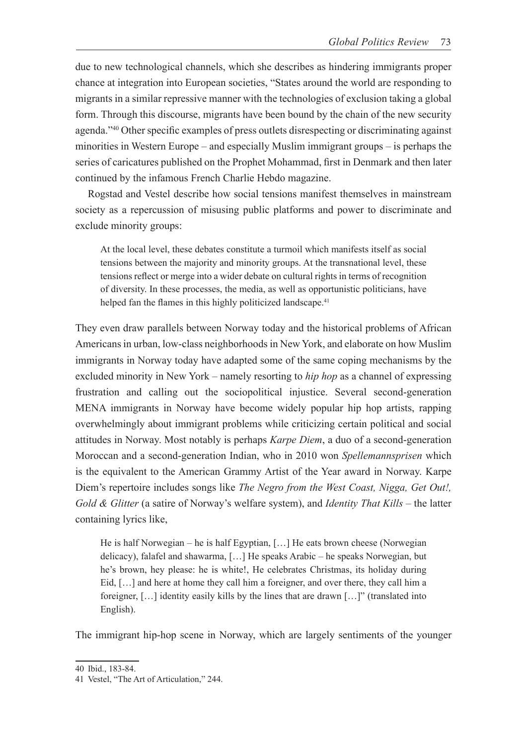due to new technological channels, which she describes as hindering immigrants proper chance at integration into European societies, "States around the world are responding to migrants in a similar repressive manner with the technologies of exclusion taking a global form. Through this discourse, migrants have been bound by the chain of the new security agenda."<sup>40</sup> Other specific examples of press outlets disrespecting or discriminating against minorities in Western Europe – and especially Muslim immigrant groups – is perhaps the series of caricatures published on the Prophet Mohammad, first in Denmark and then later continued by the infamous French Charlie Hebdo magazine.

Rogstad and Vestel describe how social tensions manifest themselves in mainstream society as a repercussion of misusing public platforms and power to discriminate and exclude minority groups:

At the local level, these debates constitute a turmoil which manifests itself as social tensions between the majority and minority groups. At the transnational level, these tensions reflect or merge into a wider debate on cultural rights in terms of recognition of diversity. In these processes, the media, as well as opportunistic politicians, have helped fan the flames in this highly politicized landscape.<sup>41</sup>

They even draw parallels between Norway today and the historical problems of African Americans in urban, low-class neighborhoods in New York, and elaborate on how Muslim immigrants in Norway today have adapted some of the same coping mechanisms by the excluded minority in New York – namely resorting to *hip hop* as a channel of expressing frustration and calling out the sociopolitical injustice. Several second-generation MENA immigrants in Norway have become widely popular hip hop artists, rapping overwhelmingly about immigrant problems while criticizing certain political and social attitudes in Norway. Most notably is perhaps *Karpe Diem*, a duo of a second-generation Moroccan and a second-generation Indian, who in 2010 won *Spellemannsprisen* which is the equivalent to the American Grammy Artist of the Year award in Norway. Karpe Diem's repertoire includes songs like *The Negro from the West Coast, Nigga, Get Out!, Gold & Glitter* (a satire of Norway's welfare system), and *Identity That Kills* – the latter containing lyrics like,

He is half Norwegian – he is half Egyptian, […] He eats brown cheese (Norwegian delicacy), falafel and shawarma, […] He speaks Arabic – he speaks Norwegian, but he's brown, hey please: he is white!, He celebrates Christmas, its holiday during Eid, […] and here at home they call him a foreigner, and over there, they call him a foreigner, […] identity easily kills by the lines that are drawn […]" (translated into English).

The immigrant hip-hop scene in Norway, which are largely sentiments of the younger

<sup>40</sup> Ibid., 183-84.

<sup>41</sup> Vestel, "The Art of Articulation," 244.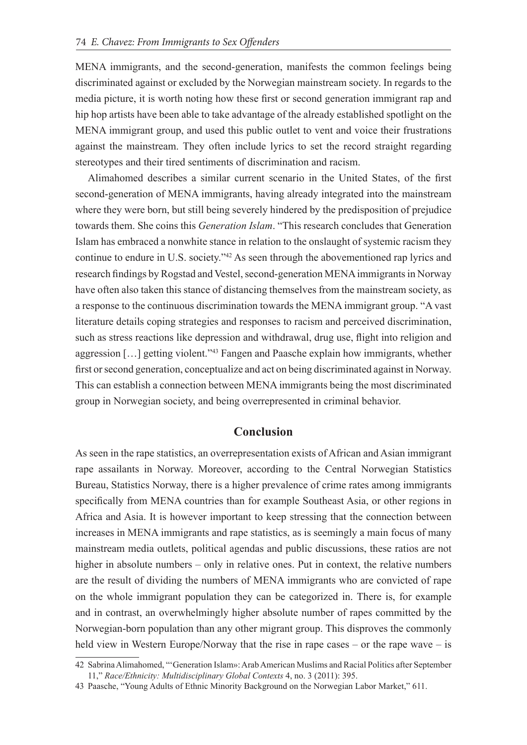MENA immigrants, and the second-generation, manifests the common feelings being discriminated against or excluded by the Norwegian mainstream society. In regards to the media picture, it is worth noting how these first or second generation immigrant rap and hip hop artists have been able to take advantage of the already established spotlight on the MENA immigrant group, and used this public outlet to vent and voice their frustrations against the mainstream. They often include lyrics to set the record straight regarding stereotypes and their tired sentiments of discrimination and racism.

Alimahomed describes a similar current scenario in the United States, of the first second-generation of MENA immigrants, having already integrated into the mainstream where they were born, but still being severely hindered by the predisposition of prejudice towards them. She coins this *Generation Islam*. "This research concludes that Generation Islam has embraced a nonwhite stance in relation to the onslaught of systemic racism they continue to endure in U.S. society.<sup>342</sup> As seen through the abovementioned rap lyrics and research findings by Rogstad and Vestel, second-generation MENA immigrants in Norway have often also taken this stance of distancing themselves from the mainstream society, as a response to the continuous discrimination towards the MENA immigrant group. "A vast literature details coping strategies and responses to racism and perceived discrimination, such as stress reactions like depression and withdrawal, drug use, flight into religion and aggression […] getting violent."<sup>43</sup> Fangen and Paasche explain how immigrants, whether first or second generation, conceptualize and act on being discriminated against in Norway. This can establish a connection between MENA immigrants being the most discriminated group in Norwegian society, and being overrepresented in criminal behavior.

### **Conclusion**

As seen in the rape statistics, an overrepresentation exists of African and Asian immigrant rape assailants in Norway. Moreover, according to the Central Norwegian Statistics Bureau, Statistics Norway, there is a higher prevalence of crime rates among immigrants specifically from MENA countries than for example Southeast Asia, or other regions in Africa and Asia. It is however important to keep stressing that the connection between increases in MENA immigrants and rape statistics, as is seemingly a main focus of many mainstream media outlets, political agendas and public discussions, these ratios are not higher in absolute numbers – only in relative ones. Put in context, the relative numbers are the result of dividing the numbers of MENA immigrants who are convicted of rape on the whole immigrant population they can be categorized in. There is, for example and in contrast, an overwhelmingly higher absolute number of rapes committed by the Norwegian-born population than any other migrant group. This disproves the commonly held view in Western Europe/Norway that the rise in rape cases – or the rape wave – is

<sup>42</sup> Sabrina Alimahomed, "'Generation Islam»: Arab American Muslims and Racial Politics after September 11," *Race/Ethnicity: Multidisciplinary Global Contexts* 4, no. 3 (2011): 395.

<sup>43</sup> Paasche, "Young Adults of Ethnic Minority Background on the Norwegian Labor Market," 611.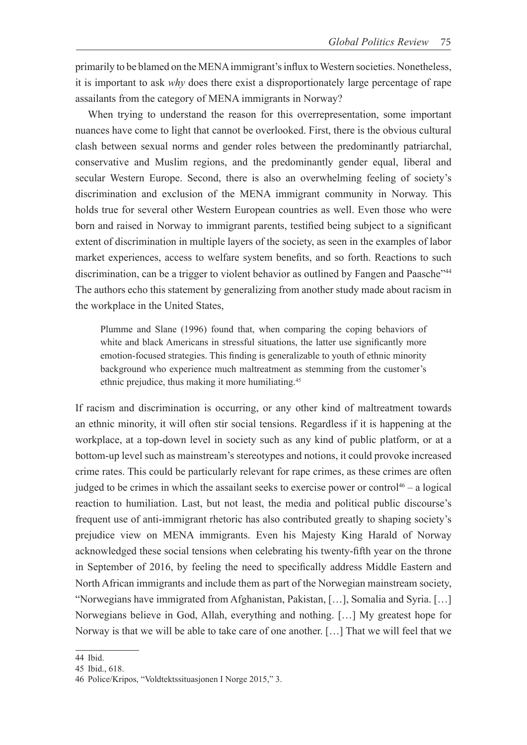primarily to be blamed on the MENA immigrant's influx to Western societies. Nonetheless, it is important to ask *why* does there exist a disproportionately large percentage of rape assailants from the category of MENA immigrants in Norway?

When trying to understand the reason for this overrepresentation, some important nuances have come to light that cannot be overlooked. First, there is the obvious cultural clash between sexual norms and gender roles between the predominantly patriarchal, conservative and Muslim regions, and the predominantly gender equal, liberal and secular Western Europe. Second, there is also an overwhelming feeling of society's discrimination and exclusion of the MENA immigrant community in Norway. This holds true for several other Western European countries as well. Even those who were born and raised in Norway to immigrant parents, testified being subject to a significant extent of discrimination in multiple layers of the society, as seen in the examples of labor market experiences, access to welfare system benefits, and so forth. Reactions to such discrimination, can be a trigger to violent behavior as outlined by Fangen and Paasche"<sup>44</sup> The authors echo this statement by generalizing from another study made about racism in the workplace in the United States,

Plumme and Slane (1996) found that, when comparing the coping behaviors of white and black Americans in stressful situations, the latter use significantly more emotion-focused strategies. This finding is generalizable to youth of ethnic minority background who experience much maltreatment as stemming from the customer's ethnic prejudice, thus making it more humiliating.45

If racism and discrimination is occurring, or any other kind of maltreatment towards an ethnic minority, it will often stir social tensions. Regardless if it is happening at the workplace, at a top-down level in society such as any kind of public platform, or at a bottom-up level such as mainstream's stereotypes and notions, it could provoke increased crime rates. This could be particularly relevant for rape crimes, as these crimes are often judged to be crimes in which the assailant seeks to exercise power or control<sup>46</sup> – a logical reaction to humiliation. Last, but not least, the media and political public discourse's frequent use of anti-immigrant rhetoric has also contributed greatly to shaping society's prejudice view on MENA immigrants. Even his Majesty King Harald of Norway acknowledged these social tensions when celebrating his twenty-fifth year on the throne in September of 2016, by feeling the need to specifically address Middle Eastern and North African immigrants and include them as part of the Norwegian mainstream society, "Norwegians have immigrated from Afghanistan, Pakistan, […], Somalia and Syria. […] Norwegians believe in God, Allah, everything and nothing. […] My greatest hope for Norway is that we will be able to take care of one another. […] That we will feel that we

<sup>44</sup> Ibid.

<sup>45</sup> Ibid., 618.

<sup>46</sup> Police/Kripos, "Voldtektssituasjonen I Norge 2015," 3.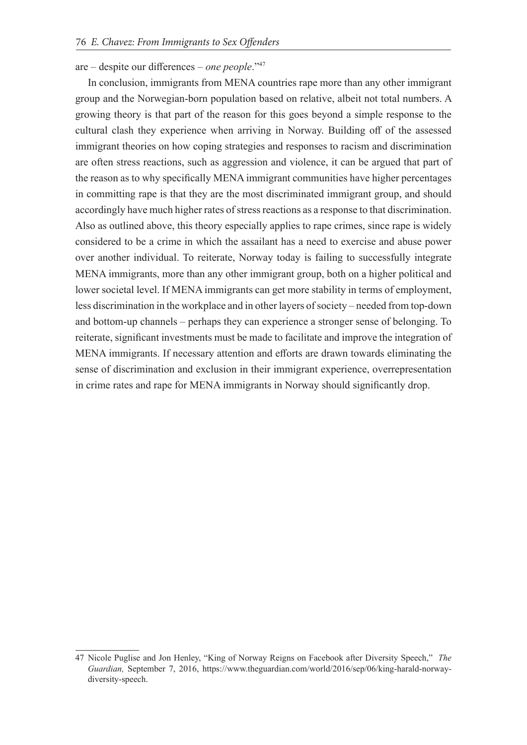#### are – despite our differences – *one people*."<sup>47</sup>

In conclusion, immigrants from MENA countries rape more than any other immigrant group and the Norwegian-born population based on relative, albeit not total numbers. A growing theory is that part of the reason for this goes beyond a simple response to the cultural clash they experience when arriving in Norway. Building off of the assessed immigrant theories on how coping strategies and responses to racism and discrimination are often stress reactions, such as aggression and violence, it can be argued that part of the reason as to why specifically MENA immigrant communities have higher percentages in committing rape is that they are the most discriminated immigrant group, and should accordingly have much higher rates of stress reactions as a response to that discrimination. Also as outlined above, this theory especially applies to rape crimes, since rape is widely considered to be a crime in which the assailant has a need to exercise and abuse power over another individual. To reiterate, Norway today is failing to successfully integrate MENA immigrants, more than any other immigrant group, both on a higher political and lower societal level. If MENA immigrants can get more stability in terms of employment, less discrimination in the workplace and in other layers of society – needed from top-down and bottom-up channels – perhaps they can experience a stronger sense of belonging. To reiterate, significant investments must be made to facilitate and improve the integration of MENA immigrants. If necessary attention and efforts are drawn towards eliminating the sense of discrimination and exclusion in their immigrant experience, overrepresentation in crime rates and rape for MENA immigrants in Norway should significantly drop.

<sup>47</sup> Nicole Puglise and Jon Henley, "King of Norway Reigns on Facebook after Diversity Speech," *The Guardian,* September 7, 2016, https://www.theguardian.com/world/2016/sep/06/king-harald-norwaydiversity-speech.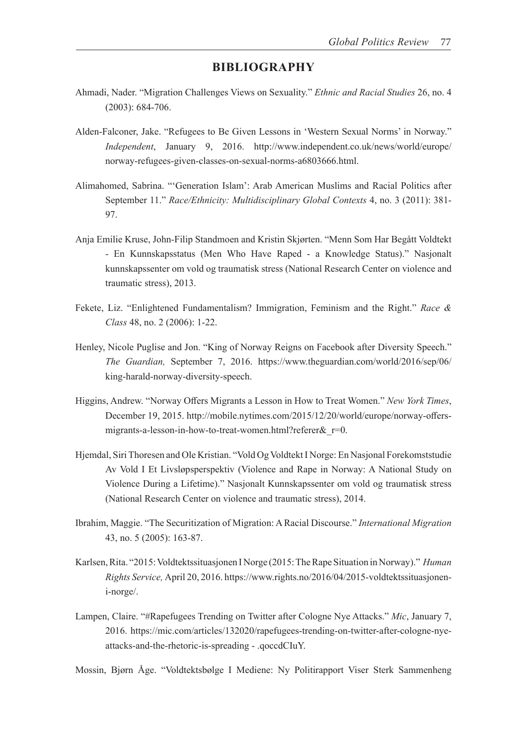#### **BIBLIOGRAPHY**

- Ahmadi, Nader. "Migration Challenges Views on Sexuality." *Ethnic and Racial Studies* 26, no. 4 (2003): 684-706.
- Alden-Falconer, Jake. "Refugees to Be Given Lessons in 'Western Sexual Norms' in Norway." *Independent*, January 9, 2016. http://www.independent.co.uk/news/world/europe/ norway-refugees-given-classes-on-sexual-norms-a6803666.html.
- Alimahomed, Sabrina. "'Generation Islam': Arab American Muslims and Racial Politics after September 11." *Race/Ethnicity: Multidisciplinary Global Contexts* 4, no. 3 (2011): 381- 97.
- Anja Emilie Kruse, John-Filip Standmoen and Kristin Skjørten. "Menn Som Har Begått Voldtekt - En Kunnskapsstatus (Men Who Have Raped - a Knowledge Status)." Nasjonalt kunnskapssenter om vold og traumatisk stress (National Research Center on violence and traumatic stress), 2013.
- Fekete, Liz. "Enlightened Fundamentalism? Immigration, Feminism and the Right." *Race & Class* 48, no. 2 (2006): 1-22.
- Henley, Nicole Puglise and Jon. "King of Norway Reigns on Facebook after Diversity Speech." *The Guardian,* September 7, 2016. https://www.theguardian.com/world/2016/sep/06/ king-harald-norway-diversity-speech.
- Higgins, Andrew. "Norway Offers Migrants a Lesson in How to Treat Women." *New York Times*, December 19, 2015. http://mobile.nytimes.com/2015/12/20/world/europe/norway-offersmigrants-a-lesson-in-how-to-treat-women.html?referer& r=0.
- Hjemdal, Siri Thoresen and Ole Kristian. "Vold Og Voldtekt I Norge: En Nasjonal Forekomststudie Av Vold I Et Livsløpsperspektiv (Violence and Rape in Norway: A National Study on Violence During a Lifetime)." Nasjonalt Kunnskapssenter om vold og traumatisk stress (National Research Center on violence and traumatic stress), 2014.
- Ibrahim, Maggie. "The Securitization of Migration: A Racial Discourse." *International Migration*  43, no. 5 (2005): 163-87.
- Karlsen, Rita. "2015: Voldtektssituasjonen I Norge (2015: The Rape Situation in Norway)." *Human Rights Service,* April 20, 2016. https://www.rights.no/2016/04/2015-voldtektssituasjoneni-norge/.
- Lampen, Claire. "#Rapefugees Trending on Twitter after Cologne Nye Attacks." *Mic*, January 7, 2016. https://mic.com/articles/132020/rapefugees-trending-on-twitter-after-cologne-nyeattacks-and-the-rhetoric-is-spreading - .qoccdCIuY.

Mossin, Bjørn Åge. "Voldtektsbølge I Mediene: Ny Politirapport Viser Sterk Sammenheng